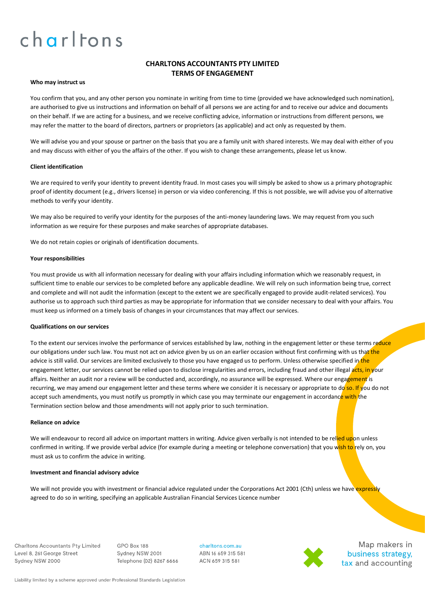# **CHARLTONS ACCOUNTANTS PTY LIMITED TERMS OF ENGAGEMENT**

### **Who may instruct us**

You confirm that you, and any other person you nominate in writing from time to time (provided we have acknowledged such nomination), are authorised to give us instructions and information on behalf of all persons we are acting for and to receive our advice and documents on their behalf. If we are acting for a business, and we receive conflicting advice, information or instructions from different persons, we may refer the matter to the board of directors, partners or proprietors (as applicable) and act only as requested by them.

We will advise you and your spouse or partner on the basis that you are a family unit with shared interests. We may deal with either of you and may discuss with either of you the affairs of the other. If you wish to change these arrangements, please let us know.

### **Client identification**

We are required to verify your identity to prevent identity fraud. In most cases you will simply be asked to show us a primary photographic proof of identity document (e.g., drivers license) in person or via video conferencing. If this is not possible, we will advise you of alternative methods to verify your identity.

We may also be required to verify your identity for the purposes of the anti-money laundering laws. We may request from you such information as we require for these purposes and make searches of appropriate databases.

We do not retain copies or originals of identification documents.

#### **Your responsibilities**

You must provide us with all information necessary for dealing with your affairs including information which we reasonably request, in sufficient time to enable our services to be completed before any applicable deadline. We will rely on such information being true, correct and complete and will not audit the information (except to the extent we are specifically engaged to provide audit-related services). You authorise us to approach such third parties as may be appropriate for information that we consider necessary to deal with your affairs. You must keep us informed on a timely basis of changes in your circumstances that may affect our services.

# **Qualifications on our services**

To the extent our services involve the performance of services established by law, nothing in the engagement letter or these terms reduce our obligations under such law. You must not act on advice given by us on an earlier occasion without first confirming with us that the advice is still valid. Our services are limited exclusively to those you have engaged us to perform. Unless otherwise specified in the engagement letter, our services cannot be relied upon to disclose irregularities and errors, including fraud and other illegal acts, in your affairs. Neither an audit nor a review will be conducted and, accordingly, no assurance will be expressed. Where our engagement is recurring, we may amend our engagement letter and these terms where we consider it is necessary or appropriate to do so. If you do not accept such amendments, you must notify us promptly in which case you may terminate our engagement in accordance with the Termination section below and those amendments will not apply prior to such termination.

#### **Reliance on advice**

We will endeavour to record all advice on important matters in writing. Advice given verbally is not intended to be relied upon unless confirmed in writing. If we provide verbal advice (for example during a meeting or telephone conversation) that you wish to rely on, you must ask us to confirm the advice in writing.

# **Investment and financial advisory advice**

We will not provide you with investment or financial advice regulated under the Corporations Act 2001 (Cth) unless we have expressly agreed to do so in writing, specifying an applicable Australian Financial Services Licence number

**Charltons Accountants Pty Limited** Level 8, 261 George Street Sydney NSW 2000

GPO Box 188 Sydney NSW 2001 Telephone (02) 8267 6666

charltons.com.au ABN 16 659 315 581 ACN 659 315 581



Map makers in business strategy, tax and accounting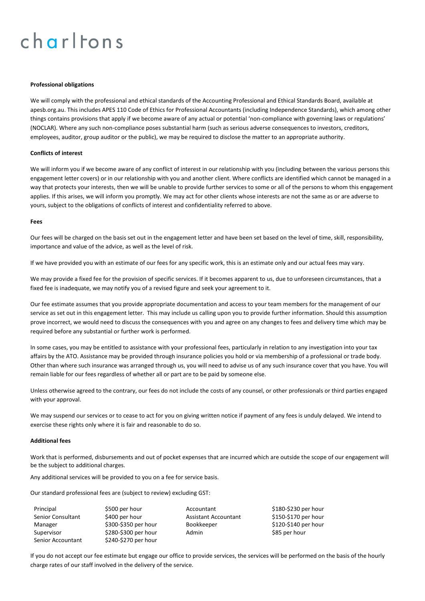### **Professional obligations**

We will comply with the professional and ethical standards of the Accounting Professional and Ethical Standards Board, available at apesb.org.au. This includes APES 110 Code of Ethics for Professional Accountants (including Independence Standards), which among other things contains provisions that apply if we become aware of any actual or potential 'non-compliance with governing laws or regulations' (NOCLAR). Where any such non-compliance poses substantial harm (such as serious adverse consequences to investors, creditors, employees, auditor, group auditor or the public), we may be required to disclose the matter to an appropriate authority.

# **Conflicts of interest**

We will inform you if we become aware of any conflict of interest in our relationship with you (including between the various persons this engagement letter covers) or in our relationship with you and another client. Where conflicts are identified which cannot be managed in a way that protects your interests, then we will be unable to provide further services to some or all of the persons to whom this engagement applies. If this arises, we will inform you promptly. We may act for other clients whose interests are not the same as or are adverse to yours, subject to the obligations of conflicts of interest and confidentiality referred to above.

#### **Fees**

Our fees will be charged on the basis set out in the engagement letter and have been set based on the level of time, skill, responsibility, importance and value of the advice, as well as the level of risk.

If we have provided you with an estimate of our fees for any specific work, this is an estimate only and our actual fees may vary.

We may provide a fixed fee for the provision of specific services. If it becomes apparent to us, due to unforeseen circumstances, that a fixed fee is inadequate, we may notify you of a revised figure and seek your agreement to it.

Our fee estimate assumes that you provide appropriate documentation and access to your team members for the management of our service as set out in this engagement letter. This may include us calling upon you to provide further information. Should this assumption prove incorrect, we would need to discuss the consequences with you and agree on any changes to fees and delivery time which may be required before any substantial or further work is performed.

In some cases, you may be entitled to assistance with your professional fees, particularly in relation to any investigation into your tax affairs by the ATO. Assistance may be provided through insurance policies you hold or via membership of a professional or trade body. Other than where such insurance was arranged through us, you will need to advise us of any such insurance cover that you have. You will remain liable for our fees regardless of whether all or part are to be paid by someone else.

Unless otherwise agreed to the contrary, our fees do not include the costs of any counsel, or other professionals or third parties engaged with your approval.

We may suspend our services or to cease to act for you on giving written notice if payment of any fees is unduly delayed. We intend to exercise these rights only where it is fair and reasonable to do so.

#### **Additional fees**

Work that is performed, disbursements and out of pocket expenses that are incurred which are outside the scope of our engagement will be the subject to additional charges.

Any additional services will be provided to you on a fee for service basis.

Our standard professional fees are (subject to review) excluding GST:

| Principal                |
|--------------------------|
| <b>Senior Consultant</b> |
| Manager                  |
| Supervisor               |
| <b>Senior Accountant</b> |

\$500 per hour **Accountant** \$180-\$230 per hour \$240-\$270 per hour

\$400 per hour **Assistant Accountant** \$150-\$170 per hour \$300-\$350 per hour Bookkeeper \$120-\$140 per hour \$280-\$300 per hour Admin \$85 per hour

If you do not accept our fee estimate but engage our office to provide services, the services will be performed on the basis of the hourly charge rates of our staff involved in the delivery of the service.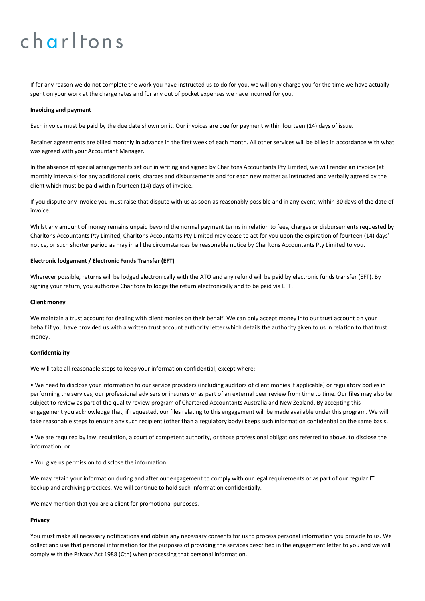If for any reason we do not complete the work you have instructed us to do for you, we will only charge you for the time we have actually spent on your work at the charge rates and for any out of pocket expenses we have incurred for you.

#### **Invoicing and payment**

Each invoice must be paid by the due date shown on it. Our invoices are due for payment within fourteen (14) days of issue.

Retainer agreements are billed monthly in advance in the first week of each month. All other services will be billed in accordance with what was agreed with your Accountant Manager.

In the absence of special arrangements set out in writing and signed by Charltons Accountants Pty Limited, we will render an invoice (at monthly intervals) for any additional costs, charges and disbursements and for each new matter as instructed and verbally agreed by the client which must be paid within fourteen (14) days of invoice.

If you dispute any invoice you must raise that dispute with us as soon as reasonably possible and in any event, within 30 days of the date of invoice.

Whilst any amount of money remains unpaid beyond the normal payment terms in relation to fees, charges or disbursements requested by Charltons Accountants Pty Limited, Charltons Accountants Pty Limited may cease to act for you upon the expiration of fourteen (14) days' notice, or such shorter period as may in all the circumstances be reasonable notice by Charltons Accountants Pty Limited to you.

# **Electronic lodgement / Electronic Funds Transfer (EFT)**

Wherever possible, returns will be lodged electronically with the ATO and any refund will be paid by electronic funds transfer (EFT). By signing your return, you authorise Charltons to lodge the return electronically and to be paid via EFT.

#### **Client money**

We maintain a trust account for dealing with client monies on their behalf. We can only accept money into our trust account on your behalf if you have provided us with a written trust account authority letter which details the authority given to us in relation to that trust money.

#### **Confidentiality**

We will take all reasonable steps to keep your information confidential, except where:

• We need to disclose your information to our service providers (including auditors of client monies if applicable) or regulatory bodies in performing the services, our professional advisers or insurers or as part of an external peer review from time to time. Our files may also be subject to review as part of the quality review program of Chartered Accountants Australia and New Zealand. By accepting this engagement you acknowledge that, if requested, our files relating to this engagement will be made available under this program. We will take reasonable steps to ensure any such recipient (other than a regulatory body) keeps such information confidential on the same basis.

• We are required by law, regulation, a court of competent authority, or those professional obligations referred to above, to disclose the information; or

• You give us permission to disclose the information.

We may retain your information during and after our engagement to comply with our legal requirements or as part of our regular IT backup and archiving practices. We will continue to hold such information confidentially.

We may mention that you are a client for promotional purposes.

#### **Privacy**

You must make all necessary notifications and obtain any necessary consents for us to process personal information you provide to us. We collect and use that personal information for the purposes of providing the services described in the engagement letter to you and we will comply with the Privacy Act 1988 (Cth) when processing that personal information.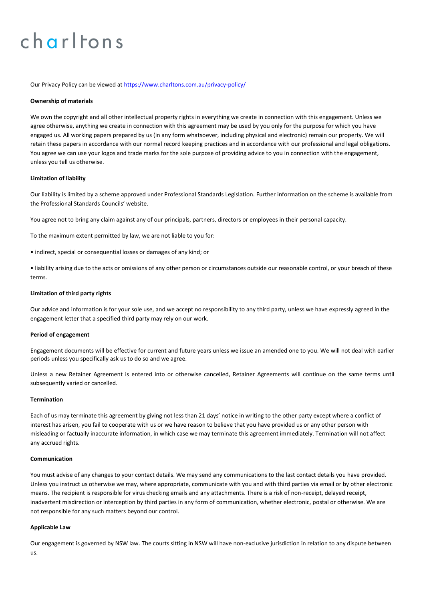Our Privacy Policy can be viewed at<https://www.charltons.com.au/privacy-policy/>

### **Ownership of materials**

We own the copyright and all other intellectual property rights in everything we create in connection with this engagement. Unless we agree otherwise, anything we create in connection with this agreement may be used by you only for the purpose for which you have engaged us. All working papers prepared by us (in any form whatsoever, including physical and electronic) remain our property. We will retain these papers in accordance with our normal record keeping practices and in accordance with our professional and legal obligations. You agree we can use your logos and trade marks for the sole purpose of providing advice to you in connection with the engagement, unless you tell us otherwise.

# **Limitation of liability**

Our liability is limited by a scheme approved under Professional Standards Legislation. Further information on the scheme is available from the Professional Standards Councils' website.

You agree not to bring any claim against any of our principals, partners, directors or employees in their personal capacity.

To the maximum extent permitted by law, we are not liable to you for:

• indirect, special or consequential losses or damages of any kind; or

• liability arising due to the acts or omissions of any other person or circumstances outside our reasonable control, or your breach of these terms.

# **Limitation of third party rights**

Our advice and information is for your sole use, and we accept no responsibility to any third party, unless we have expressly agreed in the engagement letter that a specified third party may rely on our work.

#### **Period of engagement**

Engagement documents will be effective for current and future years unless we issue an amended one to you. We will not deal with earlier periods unless you specifically ask us to do so and we agree.

Unless a new Retainer Agreement is entered into or otherwise cancelled, Retainer Agreements will continue on the same terms until subsequently varied or cancelled.

# **Termination**

Each of us may terminate this agreement by giving not less than 21 days' notice in writing to the other party except where a conflict of interest has arisen, you fail to cooperate with us or we have reason to believe that you have provided us or any other person with misleading or factually inaccurate information, in which case we may terminate this agreement immediately. Termination will not affect any accrued rights.

### **Communication**

You must advise of any changes to your contact details. We may send any communications to the last contact details you have provided. Unless you instruct us otherwise we may, where appropriate, communicate with you and with third parties via email or by other electronic means. The recipient is responsible for virus checking emails and any attachments. There is a risk of non-receipt, delayed receipt, inadvertent misdirection or interception by third parties in any form of communication, whether electronic, postal or otherwise. We are not responsible for any such matters beyond our control.

# **Applicable Law**

Our engagement is governed by NSW law. The courts sitting in NSW will have non-exclusive jurisdiction in relation to any dispute between us.